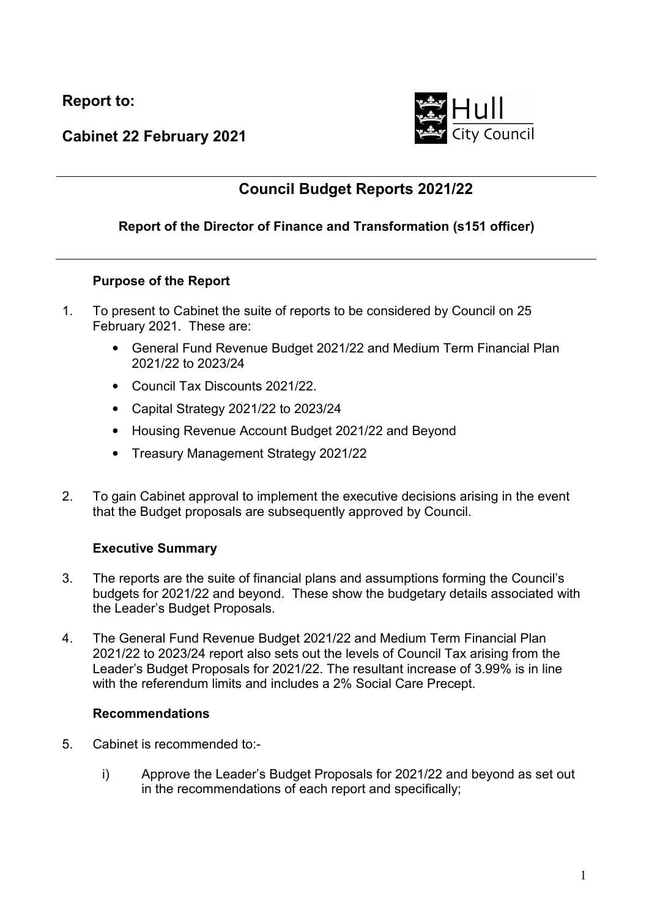**Report to:** 



**Cabinet 22 February 2021** 

# **Council Budget Reports 2021/22**

# **Report of the Director of Finance and Transformation (s151 officer)**

# **Purpose of the Report**

- 1. To present to Cabinet the suite of reports to be considered by Council on 25 February 2021. These are:
	- General Fund Revenue Budget 2021/22 and Medium Term Financial Plan 2021/22 to 2023/24
	- Council Tax Discounts 2021/22.
	- Capital Strategy 2021/22 to 2023/24
	- Housing Revenue Account Budget 2021/22 and Beyond
	- Treasury Management Strategy 2021/22
- 2. To gain Cabinet approval to implement the executive decisions arising in the event that the Budget proposals are subsequently approved by Council.

# **Executive Summary**

- 3. The reports are the suite of financial plans and assumptions forming the Council's budgets for 2021/22 and beyond. These show the budgetary details associated with the Leader's Budget Proposals.
- 4. The General Fund Revenue Budget 2021/22 and Medium Term Financial Plan 2021/22 to 2023/24 report also sets out the levels of Council Tax arising from the Leader's Budget Proposals for 2021/22. The resultant increase of 3.99% is in line with the referendum limits and includes a 2% Social Care Precept.

## **Recommendations**

- 5. Cabinet is recommended to:
	- i) Approve the Leader's Budget Proposals for 2021/22 and beyond as set out in the recommendations of each report and specifically;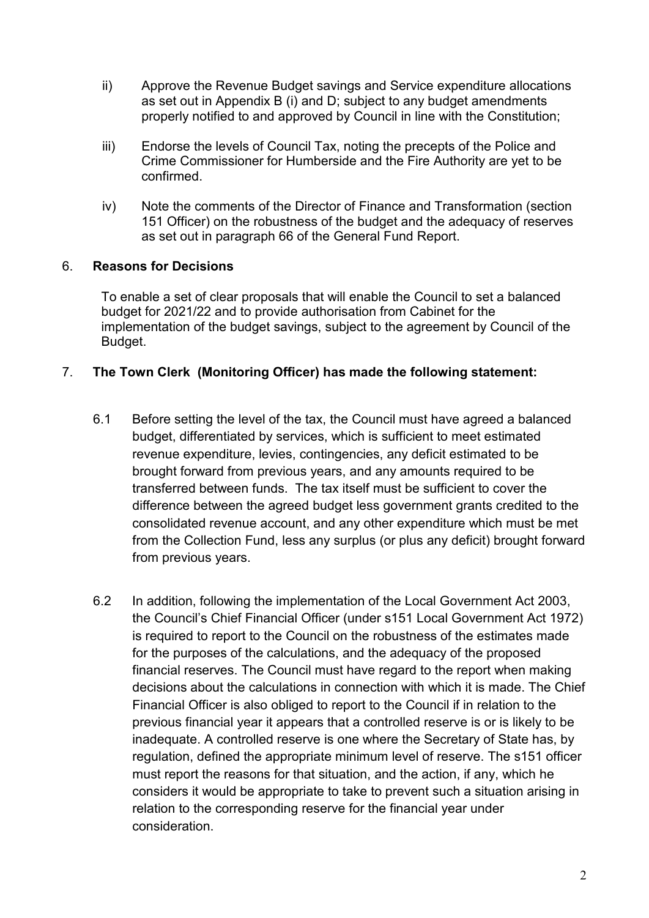- ii) Approve the Revenue Budget savings and Service expenditure allocations as set out in Appendix B (i) and D; subject to any budget amendments properly notified to and approved by Council in line with the Constitution;
- iii) Endorse the levels of Council Tax, noting the precepts of the Police and Crime Commissioner for Humberside and the Fire Authority are yet to be confirmed.
- iv) Note the comments of the Director of Finance and Transformation (section 151 Officer) on the robustness of the budget and the adequacy of reserves as set out in paragraph 66 of the General Fund Report.

## 6. **Reasons for Decisions**

To enable a set of clear proposals that will enable the Council to set a balanced budget for 2021/22 and to provide authorisation from Cabinet for the implementation of the budget savings, subject to the agreement by Council of the Budget.

#### 7. **The Town Clerk (Monitoring Officer) has made the following statement:**

- 6.1 Before setting the level of the tax, the Council must have agreed a balanced budget, differentiated by services, which is sufficient to meet estimated revenue expenditure, levies, contingencies, any deficit estimated to be brought forward from previous years, and any amounts required to be transferred between funds. The tax itself must be sufficient to cover the difference between the agreed budget less government grants credited to the consolidated revenue account, and any other expenditure which must be met from the Collection Fund, less any surplus (or plus any deficit) brought forward from previous years.
- 6.2 In addition, following the implementation of the Local Government Act 2003, the Council's Chief Financial Officer (under s151 Local Government Act 1972) is required to report to the Council on the robustness of the estimates made for the purposes of the calculations, and the adequacy of the proposed financial reserves. The Council must have regard to the report when making decisions about the calculations in connection with which it is made. The Chief Financial Officer is also obliged to report to the Council if in relation to the previous financial year it appears that a controlled reserve is or is likely to be inadequate. A controlled reserve is one where the Secretary of State has, by regulation, defined the appropriate minimum level of reserve. The s151 officer must report the reasons for that situation, and the action, if any, which he considers it would be appropriate to take to prevent such a situation arising in relation to the corresponding reserve for the financial year under consideration.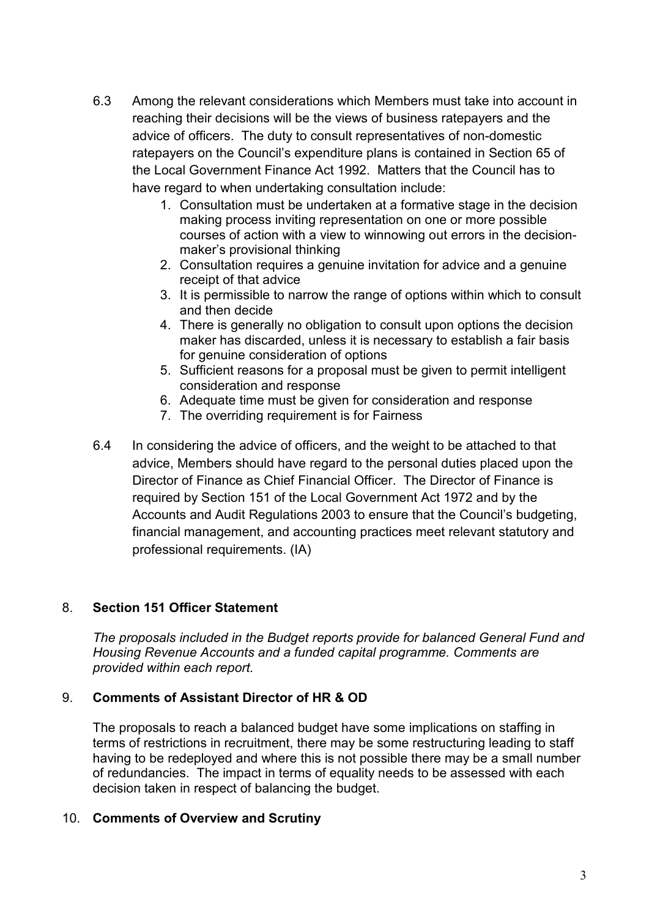- 6.3 Among the relevant considerations which Members must take into account in reaching their decisions will be the views of business ratepayers and the advice of officers. The duty to consult representatives of non-domestic ratepayers on the Council's expenditure plans is contained in Section 65 of the Local Government Finance Act 1992. Matters that the Council has to have regard to when undertaking consultation include:
	- 1. Consultation must be undertaken at a formative stage in the decision making process inviting representation on one or more possible courses of action with a view to winnowing out errors in the decisionmaker's provisional thinking
	- 2. Consultation requires a genuine invitation for advice and a genuine receipt of that advice
	- 3. It is permissible to narrow the range of options within which to consult and then decide
	- 4. There is generally no obligation to consult upon options the decision maker has discarded, unless it is necessary to establish a fair basis for genuine consideration of options
	- 5. Sufficient reasons for a proposal must be given to permit intelligent consideration and response
	- 6. Adequate time must be given for consideration and response
	- 7. The overriding requirement is for Fairness
- 6.4 In considering the advice of officers, and the weight to be attached to that advice, Members should have regard to the personal duties placed upon the Director of Finance as Chief Financial Officer. The Director of Finance is required by Section 151 of the Local Government Act 1972 and by the Accounts and Audit Regulations 2003 to ensure that the Council's budgeting, financial management, and accounting practices meet relevant statutory and professional requirements. (IA)

#### 8. **Section 151 Officer Statement**

*The proposals included in the Budget reports provide for balanced General Fund and Housing Revenue Accounts and a funded capital programme. Comments are provided within each report.* 

## 9. **Comments of Assistant Director of HR & OD**

The proposals to reach a balanced budget have some implications on staffing in terms of restrictions in recruitment, there may be some restructuring leading to staff having to be redeployed and where this is not possible there may be a small number of redundancies. The impact in terms of equality needs to be assessed with each decision taken in respect of balancing the budget.

#### 10. **Comments of Overview and Scrutiny**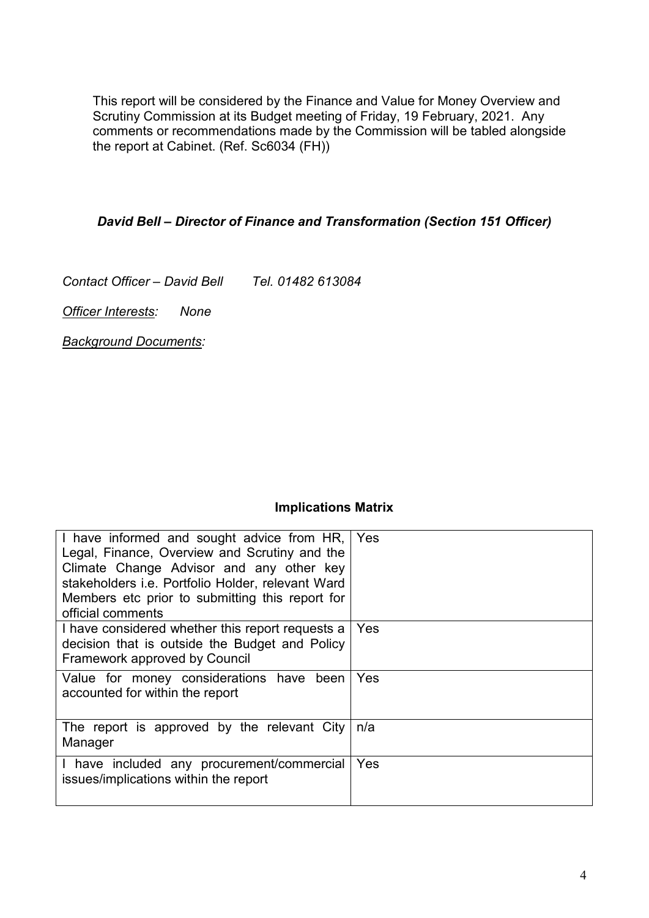This report will be considered by the Finance and Value for Money Overview and Scrutiny Commission at its Budget meeting of Friday, 19 February, 2021. Any comments or recommendations made by the Commission will be tabled alongside the report at Cabinet. (Ref. Sc6034 (FH))

*David Bell – Director of Finance and Transformation (Section 151 Officer)* 

*Contact Officer – David Bell Tel. 01482 613084* 

*Officer Interests: None*

*Background Documents:* 

#### **Implications Matrix**

| I have informed and sought advice from HR, Yes<br>Legal, Finance, Overview and Scrutiny and the<br>Climate Change Advisor and any other key<br>stakeholders i.e. Portfolio Holder, relevant Ward<br>Members etc prior to submitting this report for<br>official comments |     |
|--------------------------------------------------------------------------------------------------------------------------------------------------------------------------------------------------------------------------------------------------------------------------|-----|
| I have considered whether this report requests a<br>decision that is outside the Budget and Policy<br>Framework approved by Council                                                                                                                                      | Yes |
| Value for money considerations have been<br>accounted for within the report                                                                                                                                                                                              | Yes |
| The report is approved by the relevant City<br>Manager                                                                                                                                                                                                                   | n/a |
| I have included any procurement/commercial<br>issues/implications within the report                                                                                                                                                                                      | Yes |